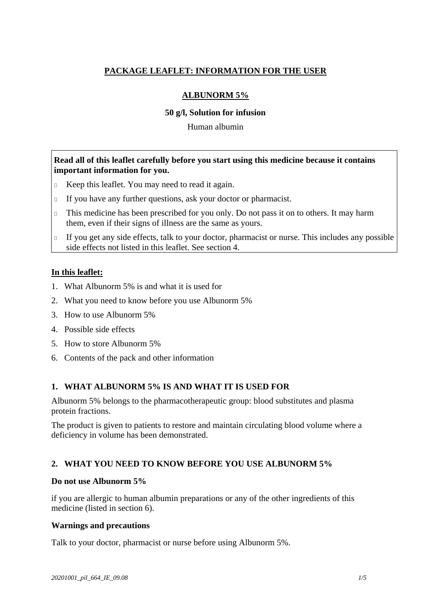# **PACKAGE LEAFLET: INFORMATION FOR THE USER**

# **ALBUNORM 5%**

### **50 g/l, Solution for infusion**

Human albumin

### **Read all of this leaflet carefully before you start using this medicine because it contains important information for you.**

- Keep this leaflet. You may need to read it again.
- If you have any further questions, ask your doctor or pharmacist.
- This medicine has been prescribed for you only. Do not pass it on to others. It may harm them, even if their signs of illness are the same as yours.
- If you get any side effects, talk to your doctor, pharmacist or nurse. This includes any possible side effects not listed in this leaflet. See section 4.

### **In this leaflet:**

- 1. What Albunorm 5% is and what it is used for
- 2. What you need to know before you use Albunorm 5%
- 3. How to use Albunorm 5%
- 4. Possible side effects
- 5. How to store Albunorm 5%
- 6. Contents of the pack and other information

# **1. WHAT ALBUNORM 5% IS AND WHAT IT IS USED FOR**

Albunorm 5% belongs to the pharmacotherapeutic group: blood substitutes and plasma protein fractions.

The product is given to patients to restore and maintain circulating blood volume where a deficiency in volume has been demonstrated.

# **2. WHAT YOU NEED TO KNOW BEFORE YOU USE ALBUNORM 5%**

#### **Do not use Albunorm 5%**

if you are allergic to human albumin preparations or any of the other ingredients of this medicine (listed in section 6).

#### **Warnings and precautions**

Talk to your doctor, pharmacist or nurse before using Albunorm 5%.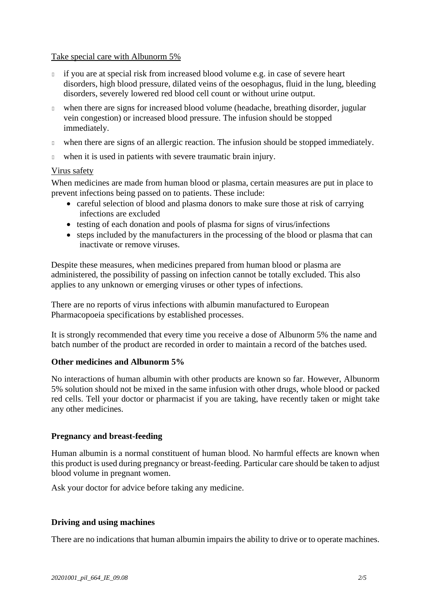### Take special care with Albunorm 5%

- if you are at special risk from increased blood volume e.g. in case of severe heart disorders, high blood pressure, dilated veins of the oesophagus, fluid in the lung, bleeding disorders, severely lowered red blood cell count or without urine output.
- when there are signs for increased blood volume (headache, breathing disorder, jugular vein congestion) or increased blood pressure. The infusion should be stopped immediately.
- when there are signs of an allergic reaction. The infusion should be stopped immediately.
- when it is used in patients with severe traumatic brain injury.

### Virus safety

When medicines are made from human blood or plasma, certain measures are put in place to prevent infections being passed on to patients. These include:

- careful selection of blood and plasma donors to make sure those at risk of carrying infections are excluded
- testing of each donation and pools of plasma for signs of virus/infections
- steps included by the manufacturers in the processing of the blood or plasma that can inactivate or remove viruses.

Despite these measures, when medicines prepared from human blood or plasma are administered, the possibility of passing on infection cannot be totally excluded. This also applies to any unknown or emerging viruses or other types of infections.

There are no reports of virus infections with albumin manufactured to European Pharmacopoeia specifications by established processes.

It is strongly recommended that every time you receive a dose of Albunorm 5% the name and batch number of the product are recorded in order to maintain a record of the batches used.

# **Other medicines and Albunorm 5%**

No interactions of human albumin with other products are known so far. However, Albunorm 5% solution should not be mixed in the same infusion with other drugs, whole blood or packed red cells. Tell your doctor or pharmacist if you are taking, have recently taken or might take any other medicines.

# **Pregnancy and breast-feeding**

Human albumin is a normal constituent of human blood. No harmful effects are known when this product is used during pregnancy or breast-feeding. Particular care should be taken to adjust blood volume in pregnant women.

Ask your doctor for advice before taking any medicine.

# **Driving and using machines**

There are no indications that human albumin impairs the ability to drive or to operate machines.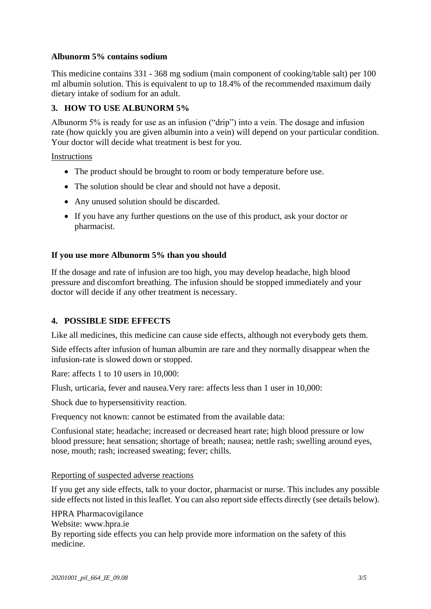# **Albunorm 5% contains sodium**

This medicine contains 331 - 368 mg sodium (main component of cooking/table salt) per 100 ml albumin solution. This is equivalent to up to 18.4% of the recommended maximum daily dietary intake of sodium for an adult.

### **3. HOW TO USE ALBUNORM 5%**

Albunorm 5% is ready for use as an infusion ("drip") into a vein. The dosage and infusion rate (how quickly you are given albumin into a vein) will depend on your particular condition. Your doctor will decide what treatment is best for you.

Instructions

- The product should be brought to room or body temperature before use.
- The solution should be clear and should not have a deposit.
- Any unused solution should be discarded.
- If you have any further questions on the use of this product, ask your doctor or pharmacist.

### **If you use more Albunorm 5% than you should**

If the dosage and rate of infusion are too high, you may develop headache, high blood pressure and discomfort breathing. The infusion should be stopped immediately and your doctor will decide if any other treatment is necessary.

# **4. POSSIBLE SIDE EFFECTS**

Like all medicines, this medicine can cause side effects, although not everybody gets them.

Side effects after infusion of human albumin are rare and they normally disappear when the infusion-rate is slowed down or stopped.

Rare: affects 1 to 10 users in 10,000:

Flush, urticaria, fever and nausea.Very rare: affects less than 1 user in 10,000:

Shock due to hypersensitivity reaction.

Frequency not known: cannot be estimated from the available data:

Confusional state; headache; increased or decreased heart rate; high blood pressure or low blood pressure; heat sensation; [shortage](http://dict.leo.org/se?lp=ende&p=/Mn4k.&search=shortage) [of](http://dict.leo.org/se?lp=ende&p=/Mn4k.&search=of) [breath;](http://dict.leo.org/se?lp=ende&p=/Mn4k.&search=breath) nausea; nettle rash; swelling around eyes, nose, mouth; rash; increased sweating; fever; chills.

#### Reporting of suspected adverse reactions

If you get any side effects, talk to your doctor, pharmacist or nurse. This includes any possible side effects not listed in this leaflet. You can also report side effects directly (see details below).

HPRA Pharmacovigilance Website: www.hpra.ie By reporting side effects you can help provide more information on the safety of this medicine.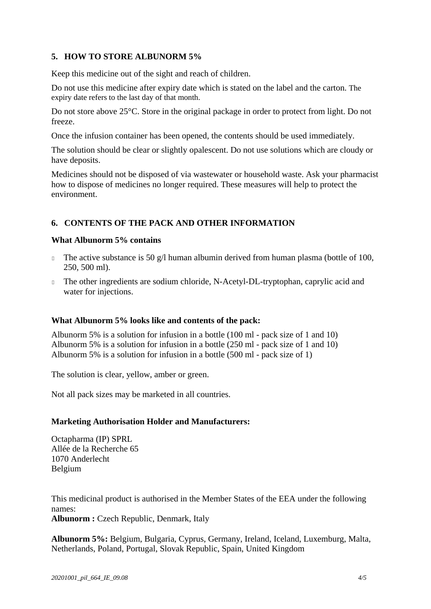# **5. HOW TO STORE ALBUNORM 5%**

Keep this medicine out of the sight and reach of children.

Do not use this medicine after expiry date which is stated on the label and the carton. The expiry date refers to the last day of that month.

Do not store above 25°C. Store in the original package in order to protect from light. Do not freeze.

Once the infusion container has been opened, the contents should be used immediately.

The solution should be clear or slightly opalescent. Do not use solutions which are cloudy or have deposits.

Medicines should not be disposed of via wastewater or household waste. Ask your pharmacist how to dispose of medicines no longer required. These measures will help to protect the environment.

### **6. CONTENTS OF THE PACK AND OTHER INFORMATION**

#### **What Albunorm 5% contains**

- The active substance is 50  $g/l$  human albumin derived from human plasma (bottle of 100, 250, 500 ml).
- The other ingredients are sodium chloride, N-Acetyl-DL-tryptophan, caprylic acid and water for injections.

#### **What Albunorm 5% looks like and contents of the pack:**

Albunorm 5% is a solution for infusion in a bottle (100 ml - pack size of 1 and 10) Albunorm 5% is a solution for infusion in a bottle (250 ml - pack size of 1 and 10) Albunorm 5% is a solution for infusion in a bottle (500 ml - pack size of 1)

The solution is clear, yellow, amber or green.

Not all pack sizes may be marketed in all countries.

#### **Marketing Authorisation Holder and Manufacturers:**

Octapharma (IP) SPRL Allée de la Recherche 65 1070 Anderlecht Belgium

This medicinal product is authorised in the Member States of the EEA under the following names: **Albunorm :** Czech Republic, Denmark, Italy

**Albunorm 5%:** Belgium, Bulgaria, Cyprus, Germany, Ireland, Iceland, Luxemburg, Malta, Netherlands, Poland, Portugal, Slovak Republic, Spain, United Kingdom